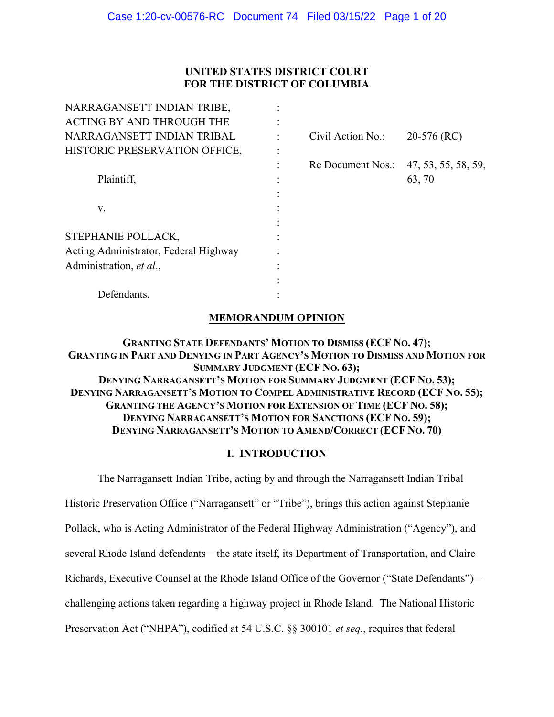# **UNITED STATES DISTRICT COURT FOR THE DISTRICT OF COLUMBIA**

| NARRAGANSETT INDIAN TRIBE,            |                   |                     |
|---------------------------------------|-------------------|---------------------|
| <b>ACTING BY AND THROUGH THE</b>      |                   |                     |
| NARRAGANSETT INDIAN TRIBAL            | Civil Action No.: | $20-576$ (RC)       |
| HISTORIC PRESERVATION OFFICE,         |                   |                     |
|                                       | Re Document Nos.: | 47, 53, 55, 58, 59, |
| Plaintiff,                            |                   | 63, 70              |
|                                       |                   |                     |
| V.                                    |                   |                     |
|                                       |                   |                     |
| STEPHANIE POLLACK,                    |                   |                     |
| Acting Administrator, Federal Highway |                   |                     |
| Administration, et al.,               |                   |                     |
|                                       |                   |                     |
| Defendants.                           |                   |                     |

# **MEMORANDUM OPINION**

# **GRANTING STATE DEFENDANTS' MOTION TO DISMISS (ECF NO. 47); GRANTING IN PART AND DENYING IN PART AGENCY'S MOTION TO DISMISS AND MOTION FOR SUMMARY JUDGMENT (ECF NO. 63); DENYING NARRAGANSETT'S MOTION FOR SUMMARY JUDGMENT (ECF NO. 53); DENYING NARRAGANSETT'S MOTION TO COMPEL ADMINISTRATIVE RECORD (ECF NO. 55); GRANTING THE AGENCY'S MOTION FOR EXTENSION OF TIME (ECF NO. 58); DENYING NARRAGANSETT'S MOTION FOR SANCTIONS (ECF NO. 59); DENYING NARRAGANSETT'S MOTION TO AMEND/CORRECT (ECF NO. 70)**

# **I. INTRODUCTION**

The Narragansett Indian Tribe, acting by and through the Narragansett Indian Tribal Historic Preservation Office ("Narragansett" or "Tribe"), brings this action against Stephanie Pollack, who is Acting Administrator of the Federal Highway Administration ("Agency"), and several Rhode Island defendants—the state itself, its Department of Transportation, and Claire Richards, Executive Counsel at the Rhode Island Office of the Governor ("State Defendants") challenging actions taken regarding a highway project in Rhode Island. The National Historic Preservation Act ("NHPA"), codified at 54 U.S.C. §§ 300101 *et seq.*, requires that federal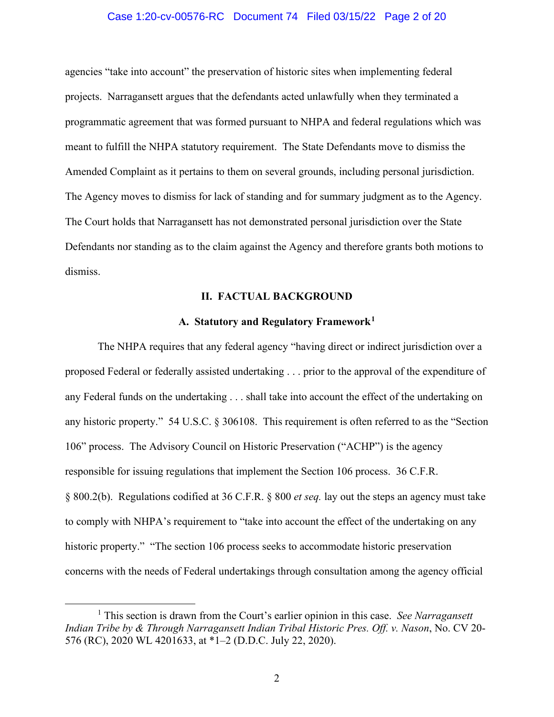## Case 1:20-cv-00576-RC Document 74 Filed 03/15/22 Page 2 of 20

agencies "take into account" the preservation of historic sites when implementing federal projects. Narragansett argues that the defendants acted unlawfully when they terminated a programmatic agreement that was formed pursuant to NHPA and federal regulations which was meant to fulfill the NHPA statutory requirement. The State Defendants move to dismiss the Amended Complaint as it pertains to them on several grounds, including personal jurisdiction. The Agency moves to dismiss for lack of standing and for summary judgment as to the Agency. The Court holds that Narragansett has not demonstrated personal jurisdiction over the State Defendants nor standing as to the claim against the Agency and therefore grants both motions to dismiss.

#### **II. FACTUAL BACKGROUND**

#### **A. Statutory and Regulatory Framework1**

The NHPA requires that any federal agency "having direct or indirect jurisdiction over a proposed Federal or federally assisted undertaking . . . prior to the approval of the expenditure of any Federal funds on the undertaking . . . shall take into account the effect of the undertaking on any historic property." 54 U.S.C. § 306108. This requirement is often referred to as the "Section 106" process. The Advisory Council on Historic Preservation ("ACHP") is the agency responsible for issuing regulations that implement the Section 106 process. 36 C.F.R. § 800.2(b). Regulations codified at 36 C.F.R. § 800 *et seq.* lay out the steps an agency must take to comply with NHPA's requirement to "take into account the effect of the undertaking on any historic property." "The section 106 process seeks to accommodate historic preservation concerns with the needs of Federal undertakings through consultation among the agency official

<sup>1</sup> This section is drawn from the Court's earlier opinion in this case. *See Narragansett Indian Tribe by & Through Narragansett Indian Tribal Historic Pres. Off. v. Nason*, No. CV 20- 576 (RC), 2020 WL 4201633, at \*1–2 (D.D.C. July 22, 2020).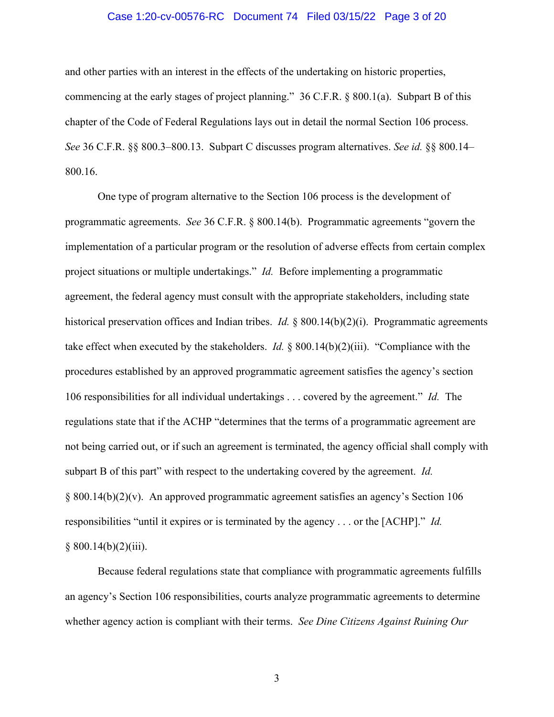# Case 1:20-cv-00576-RC Document 74 Filed 03/15/22 Page 3 of 20

and other parties with an interest in the effects of the undertaking on historic properties, commencing at the early stages of project planning." 36 C.F.R. § 800.1(a). Subpart B of this chapter of the Code of Federal Regulations lays out in detail the normal Section 106 process. *See* 36 C.F.R. §§ 800.3–800.13. Subpart C discusses program alternatives. *See id.* §§ 800.14– 800.16.

One type of program alternative to the Section 106 process is the development of programmatic agreements. *See* 36 C.F.R. § 800.14(b). Programmatic agreements "govern the implementation of a particular program or the resolution of adverse effects from certain complex project situations or multiple undertakings." *Id.* Before implementing a programmatic agreement, the federal agency must consult with the appropriate stakeholders, including state historical preservation offices and Indian tribes. *Id.* § 800.14(b)(2)(i). Programmatic agreements take effect when executed by the stakeholders. *Id.* § 800.14(b)(2)(iii). "Compliance with the procedures established by an approved programmatic agreement satisfies the agency's section 106 responsibilities for all individual undertakings . . . covered by the agreement." *Id.* The regulations state that if the ACHP "determines that the terms of a programmatic agreement are not being carried out, or if such an agreement is terminated, the agency official shall comply with subpart B of this part" with respect to the undertaking covered by the agreement. *Id.* § 800.14(b)(2)(v). An approved programmatic agreement satisfies an agency's Section 106 responsibilities "until it expires or is terminated by the agency . . . or the [ACHP]." *Id.*  $§ 800.14(b)(2)(iii).$ 

Because federal regulations state that compliance with programmatic agreements fulfills an agency's Section 106 responsibilities, courts analyze programmatic agreements to determine whether agency action is compliant with their terms. *See Dine Citizens Against Ruining Our*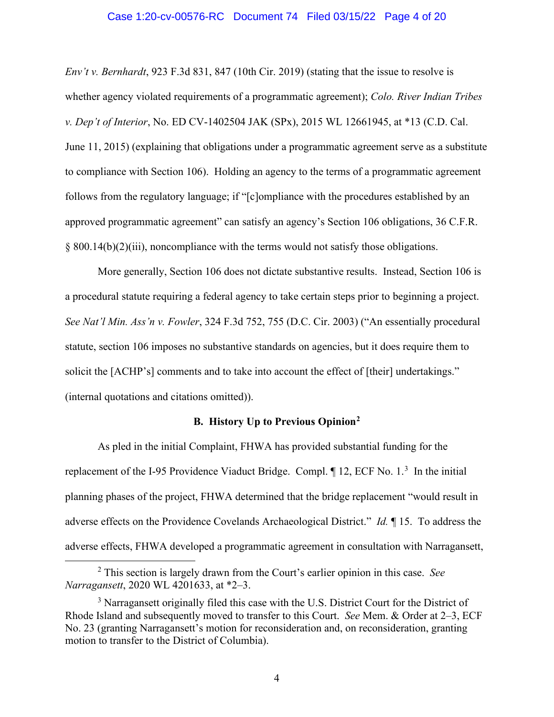#### Case 1:20-cv-00576-RC Document 74 Filed 03/15/22 Page 4 of 20

*Env't v. Bernhardt*, 923 F.3d 831, 847 (10th Cir. 2019) (stating that the issue to resolve is whether agency violated requirements of a programmatic agreement); *Colo. River Indian Tribes v. Dep't of Interior*, No. ED CV-1402504 JAK (SPx), 2015 WL 12661945, at \*13 (C.D. Cal. June 11, 2015) (explaining that obligations under a programmatic agreement serve as a substitute to compliance with Section 106). Holding an agency to the terms of a programmatic agreement follows from the regulatory language; if "[c]ompliance with the procedures established by an approved programmatic agreement" can satisfy an agency's Section 106 obligations, 36 C.F.R. § 800.14(b)(2)(iii), noncompliance with the terms would not satisfy those obligations.

More generally, Section 106 does not dictate substantive results. Instead, Section 106 is a procedural statute requiring a federal agency to take certain steps prior to beginning a project. *See Nat'l Min. Ass'n v. Fowler*, 324 F.3d 752, 755 (D.C. Cir. 2003) ("An essentially procedural statute, section 106 imposes no substantive standards on agencies, but it does require them to solicit the [ACHP's] comments and to take into account the effect of [their] undertakings." (internal quotations and citations omitted)).

# **B. History Up to Previous Opinion2**

As pled in the initial Complaint, FHWA has provided substantial funding for the replacement of the I-95 Providence Viaduct Bridge. Compl.  $\P$  12, ECF No. 1.<sup>3</sup> In the initial planning phases of the project, FHWA determined that the bridge replacement "would result in adverse effects on the Providence Covelands Archaeological District." *Id.* ¶ 15. To address the adverse effects, FHWA developed a programmatic agreement in consultation with Narragansett,

<sup>2</sup> This section is largely drawn from the Court's earlier opinion in this case. *See Narragansett*, 2020 WL 4201633, at \*2–3.

 $3$  Narragansett originally filed this case with the U.S. District Court for the District of Rhode Island and subsequently moved to transfer to this Court. *See* Mem. & Order at 2–3, ECF No. 23 (granting Narragansett's motion for reconsideration and, on reconsideration, granting motion to transfer to the District of Columbia).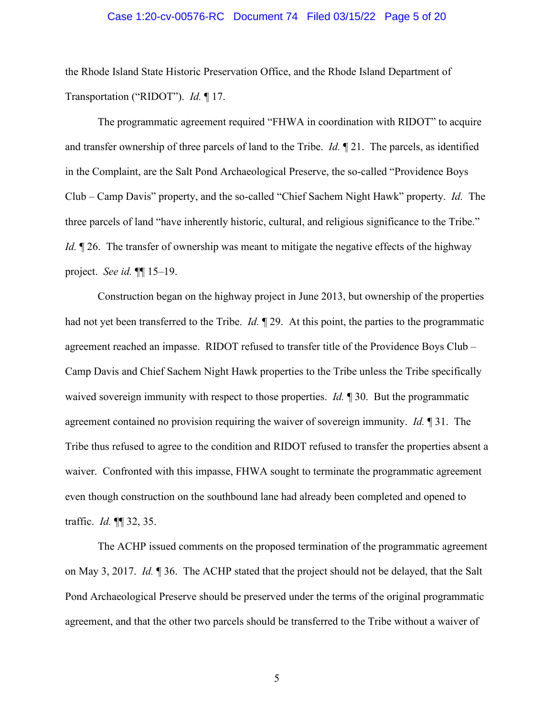#### Case 1:20-cv-00576-RC Document 74 Filed 03/15/22 Page 5 of 20

the Rhode Island State Historic Preservation Office, and the Rhode Island Department of Transportation ("RIDOT"). *Id.* ¶ 17.

The programmatic agreement required "FHWA in coordination with RIDOT" to acquire and transfer ownership of three parcels of land to the Tribe. *Id.* ¶ 21. The parcels, as identified in the Complaint, are the Salt Pond Archaeological Preserve, the so-called "Providence Boys Club – Camp Davis" property, and the so-called "Chief Sachem Night Hawk" property. *Id.* The three parcels of land "have inherently historic, cultural, and religious significance to the Tribe." *Id.*  $\mathbb{I}$  26. The transfer of ownership was meant to mitigate the negative effects of the highway project. *See id.* ¶¶ 15–19.

Construction began on the highway project in June 2013, but ownership of the properties had not yet been transferred to the Tribe. *Id.* ¶ 29. At this point, the parties to the programmatic agreement reached an impasse. RIDOT refused to transfer title of the Providence Boys Club – Camp Davis and Chief Sachem Night Hawk properties to the Tribe unless the Tribe specifically waived sovereign immunity with respect to those properties. *Id.* 1 30. But the programmatic agreement contained no provision requiring the waiver of sovereign immunity. *Id.* ¶ 31. The Tribe thus refused to agree to the condition and RIDOT refused to transfer the properties absent a waiver. Confronted with this impasse, FHWA sought to terminate the programmatic agreement even though construction on the southbound lane had already been completed and opened to traffic. *Id.* ¶¶ 32, 35.

The ACHP issued comments on the proposed termination of the programmatic agreement on May 3, 2017. *Id.* ¶ 36. The ACHP stated that the project should not be delayed, that the Salt Pond Archaeological Preserve should be preserved under the terms of the original programmatic agreement, and that the other two parcels should be transferred to the Tribe without a waiver of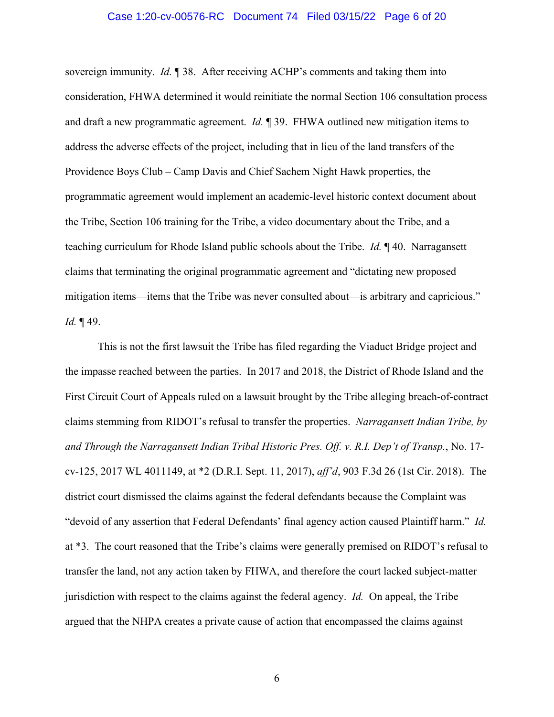#### Case 1:20-cv-00576-RC Document 74 Filed 03/15/22 Page 6 of 20

sovereign immunity. *Id.* ¶ 38. After receiving ACHP's comments and taking them into consideration, FHWA determined it would reinitiate the normal Section 106 consultation process and draft a new programmatic agreement. *Id.* ¶ 39. FHWA outlined new mitigation items to address the adverse effects of the project, including that in lieu of the land transfers of the Providence Boys Club – Camp Davis and Chief Sachem Night Hawk properties, the programmatic agreement would implement an academic-level historic context document about the Tribe, Section 106 training for the Tribe, a video documentary about the Tribe, and a teaching curriculum for Rhode Island public schools about the Tribe. *Id.* ¶ 40. Narragansett claims that terminating the original programmatic agreement and "dictating new proposed mitigation items—items that the Tribe was never consulted about—is arbitrary and capricious." *Id.* ¶ 49.

This is not the first lawsuit the Tribe has filed regarding the Viaduct Bridge project and the impasse reached between the parties. In 2017 and 2018, the District of Rhode Island and the First Circuit Court of Appeals ruled on a lawsuit brought by the Tribe alleging breach-of-contract claims stemming from RIDOT's refusal to transfer the properties. *Narragansett Indian Tribe, by and Through the Narragansett Indian Tribal Historic Pres. Off. v. R.I. Dep't of Transp.*, No. 17 cv-125, 2017 WL 4011149, at \*2 (D.R.I. Sept. 11, 2017), *aff'd*, 903 F.3d 26 (1st Cir. 2018). The district court dismissed the claims against the federal defendants because the Complaint was "devoid of any assertion that Federal Defendants' final agency action caused Plaintiff harm." *Id.* at \*3. The court reasoned that the Tribe's claims were generally premised on RIDOT's refusal to transfer the land, not any action taken by FHWA, and therefore the court lacked subject-matter jurisdiction with respect to the claims against the federal agency. *Id.* On appeal, the Tribe argued that the NHPA creates a private cause of action that encompassed the claims against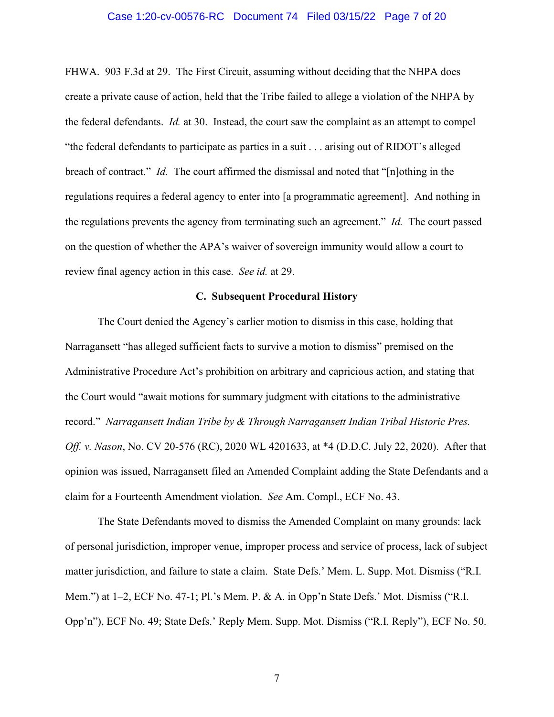#### Case 1:20-cv-00576-RC Document 74 Filed 03/15/22 Page 7 of 20

FHWA. 903 F.3d at 29. The First Circuit, assuming without deciding that the NHPA does create a private cause of action, held that the Tribe failed to allege a violation of the NHPA by the federal defendants. *Id.* at 30. Instead, the court saw the complaint as an attempt to compel "the federal defendants to participate as parties in a suit . . . arising out of RIDOT's alleged breach of contract." *Id.* The court affirmed the dismissal and noted that "[n]othing in the regulations requires a federal agency to enter into [a programmatic agreement]. And nothing in the regulations prevents the agency from terminating such an agreement." *Id.* The court passed on the question of whether the APA's waiver of sovereign immunity would allow a court to review final agency action in this case. *See id.* at 29.

# **C. Subsequent Procedural History**

The Court denied the Agency's earlier motion to dismiss in this case, holding that Narragansett "has alleged sufficient facts to survive a motion to dismiss" premised on the Administrative Procedure Act's prohibition on arbitrary and capricious action, and stating that the Court would "await motions for summary judgment with citations to the administrative record." *Narragansett Indian Tribe by & Through Narragansett Indian Tribal Historic Pres. Off. v. Nason*, No. CV 20-576 (RC), 2020 WL 4201633, at \*4 (D.D.C. July 22, 2020). After that opinion was issued, Narragansett filed an Amended Complaint adding the State Defendants and a claim for a Fourteenth Amendment violation. *See* Am. Compl., ECF No. 43.

The State Defendants moved to dismiss the Amended Complaint on many grounds: lack of personal jurisdiction, improper venue, improper process and service of process, lack of subject matter jurisdiction, and failure to state a claim. State Defs.' Mem. L. Supp. Mot. Dismiss ("R.I. Mem.") at 1–2, ECF No. 47-1; Pl.'s Mem. P. & A. in Opp'n State Defs.' Mot. Dismiss ("R.I. Opp'n"), ECF No. 49; State Defs.' Reply Mem. Supp. Mot. Dismiss ("R.I. Reply"), ECF No. 50.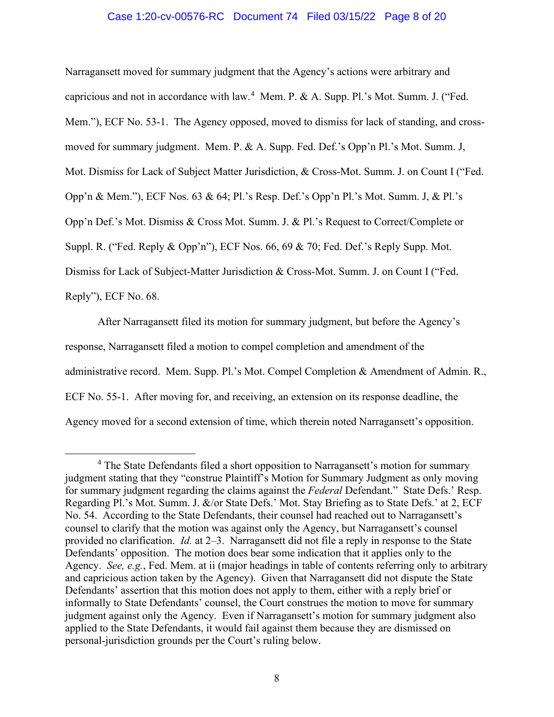## Case 1:20-cv-00576-RC Document 74 Filed 03/15/22 Page 8 of 20

Narragansett moved for summary judgment that the Agency's actions were arbitrary and capricious and not in accordance with law.<sup>4</sup> Mem. P. & A. Supp. Pl.'s Mot. Summ. J. ("Fed. Mem."), ECF No. 53-1. The Agency opposed, moved to dismiss for lack of standing, and crossmoved for summary judgment. Mem. P. & A. Supp. Fed. Def.'s Opp'n Pl.'s Mot. Summ. J, Mot. Dismiss for Lack of Subject Matter Jurisdiction, & Cross-Mot. Summ. J. on Count I ("Fed. Opp'n & Mem."), ECF Nos. 63 & 64; Pl.'s Resp. Def.'s Opp'n Pl.'s Mot. Summ. J, & Pl.'s Opp'n Def.'s Mot. Dismiss & Cross Mot. Summ. J. & Pl.'s Request to Correct/Complete or Suppl. R. ("Fed. Reply & Opp'n"), ECF Nos. 66, 69 & 70; Fed. Def.'s Reply Supp. Mot. Dismiss for Lack of Subject-Matter Jurisdiction & Cross-Mot. Summ. J. on Count I ("Fed. Reply"), ECF No. 68.

After Narragansett filed its motion for summary judgment, but before the Agency's response, Narragansett filed a motion to compel completion and amendment of the administrative record. Mem. Supp. Pl.'s Mot. Compel Completion & Amendment of Admin. R., ECF No. 55-1. After moving for, and receiving, an extension on its response deadline, the Agency moved for a second extension of time, which therein noted Narragansett's opposition.

<sup>&</sup>lt;sup>4</sup> The State Defendants filed a short opposition to Narragansett's motion for summary judgment stating that they "construe Plaintiff's Motion for Summary Judgment as only moving for summary judgment regarding the claims against the *Federal* Defendant." State Defs.' Resp. Regarding Pl.'s Mot. Summ. J. &/or State Defs.' Mot. Stay Briefing as to State Defs.' at 2, ECF No. 54. According to the State Defendants, their counsel had reached out to Narragansett's counsel to clarify that the motion was against only the Agency, but Narragansett's counsel provided no clarification. *Id.* at 2–3. Narragansett did not file a reply in response to the State Defendants' opposition. The motion does bear some indication that it applies only to the Agency. *See, e.g.*, Fed. Mem. at ii (major headings in table of contents referring only to arbitrary and capricious action taken by the Agency). Given that Narragansett did not dispute the State Defendants' assertion that this motion does not apply to them, either with a reply brief or informally to State Defendants' counsel, the Court construes the motion to move for summary judgment against only the Agency. Even if Narragansett's motion for summary judgment also applied to the State Defendants, it would fail against them because they are dismissed on personal-jurisdiction grounds per the Court's ruling below.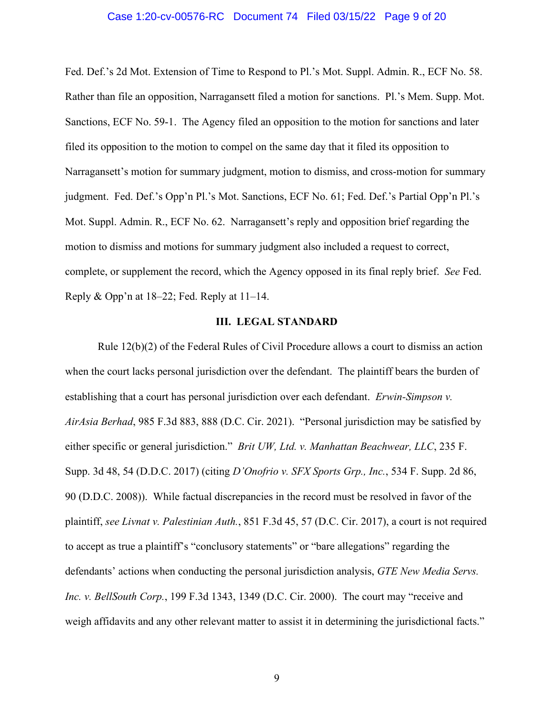#### Case 1:20-cv-00576-RC Document 74 Filed 03/15/22 Page 9 of 20

Fed. Def.'s 2d Mot. Extension of Time to Respond to Pl.'s Mot. Suppl. Admin. R., ECF No. 58. Rather than file an opposition, Narragansett filed a motion for sanctions. Pl.'s Mem. Supp. Mot. Sanctions, ECF No. 59-1. The Agency filed an opposition to the motion for sanctions and later filed its opposition to the motion to compel on the same day that it filed its opposition to Narragansett's motion for summary judgment, motion to dismiss, and cross-motion for summary judgment. Fed. Def.'s Opp'n Pl.'s Mot. Sanctions, ECF No. 61; Fed. Def.'s Partial Opp'n Pl.'s Mot. Suppl. Admin. R., ECF No. 62. Narragansett's reply and opposition brief regarding the motion to dismiss and motions for summary judgment also included a request to correct, complete, or supplement the record, which the Agency opposed in its final reply brief. *See* Fed. Reply & Opp'n at 18–22; Fed. Reply at 11–14.

### **III. LEGAL STANDARD**

Rule 12(b)(2) of the Federal Rules of Civil Procedure allows a court to dismiss an action when the court lacks personal jurisdiction over the defendant. The plaintiff bears the burden of establishing that a court has personal jurisdiction over each defendant. *Erwin-Simpson v. AirAsia Berhad*, 985 F.3d 883, 888 (D.C. Cir. 2021). "Personal jurisdiction may be satisfied by either specific or general jurisdiction." *Brit UW, Ltd. v. Manhattan Beachwear, LLC*, 235 F. Supp. 3d 48, 54 (D.D.C. 2017) (citing *D'Onofrio v. SFX Sports Grp., Inc.*, 534 F. Supp. 2d 86, 90 (D.D.C. 2008)). While factual discrepancies in the record must be resolved in favor of the plaintiff, *see Livnat v. Palestinian Auth.*, 851 F.3d 45, 57 (D.C. Cir. 2017), a court is not required to accept as true a plaintiff's "conclusory statements" or "bare allegations" regarding the defendants' actions when conducting the personal jurisdiction analysis, *GTE New Media Servs. Inc. v. BellSouth Corp.*, 199 F.3d 1343, 1349 (D.C. Cir. 2000). The court may "receive and weigh affidavits and any other relevant matter to assist it in determining the jurisdictional facts."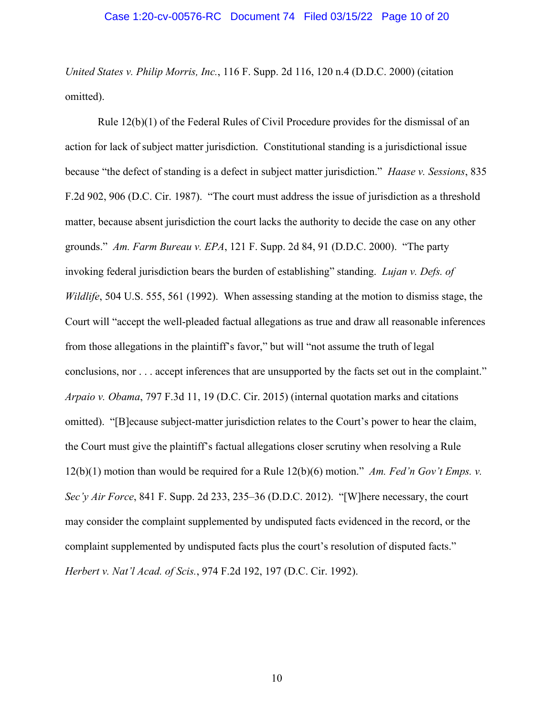*United States v. Philip Morris, Inc.*, 116 F. Supp. 2d 116, 120 n.4 (D.D.C. 2000) (citation omitted).

Rule 12(b)(1) of the Federal Rules of Civil Procedure provides for the dismissal of an action for lack of subject matter jurisdiction. Constitutional standing is a jurisdictional issue because "the defect of standing is a defect in subject matter jurisdiction." *Haase v. Sessions*, 835 F.2d 902, 906 (D.C. Cir. 1987). "The court must address the issue of jurisdiction as a threshold matter, because absent jurisdiction the court lacks the authority to decide the case on any other grounds." *Am. Farm Bureau v. EPA*, 121 F. Supp. 2d 84, 91 (D.D.C. 2000). "The party invoking federal jurisdiction bears the burden of establishing" standing. *Lujan v. Defs. of Wildlife*, 504 U.S. 555, 561 (1992). When assessing standing at the motion to dismiss stage, the Court will "accept the well-pleaded factual allegations as true and draw all reasonable inferences from those allegations in the plaintiff's favor," but will "not assume the truth of legal conclusions, nor . . . accept inferences that are unsupported by the facts set out in the complaint." *Arpaio v. Obama*, 797 F.3d 11, 19 (D.C. Cir. 2015) (internal quotation marks and citations omitted). "[B]ecause subject-matter jurisdiction relates to the Court's power to hear the claim, the Court must give the plaintiff's factual allegations closer scrutiny when resolving a Rule 12(b)(1) motion than would be required for a Rule 12(b)(6) motion." *Am. Fed'n Gov't Emps. v. Sec'y Air Force*, 841 F. Supp. 2d 233, 235–36 (D.D.C. 2012). "[W]here necessary, the court may consider the complaint supplemented by undisputed facts evidenced in the record, or the complaint supplemented by undisputed facts plus the court's resolution of disputed facts." *Herbert v. Nat'l Acad. of Scis.*, 974 F.2d 192, 197 (D.C. Cir. 1992).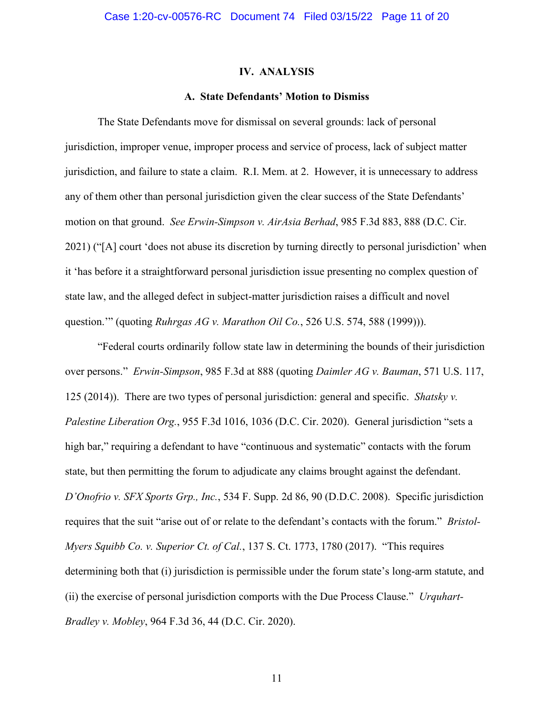#### **IV. ANALYSIS**

#### **A. State Defendants' Motion to Dismiss**

The State Defendants move for dismissal on several grounds: lack of personal jurisdiction, improper venue, improper process and service of process, lack of subject matter jurisdiction, and failure to state a claim. R.I. Mem. at 2. However, it is unnecessary to address any of them other than personal jurisdiction given the clear success of the State Defendants' motion on that ground. *See Erwin-Simpson v. AirAsia Berhad*, 985 F.3d 883, 888 (D.C. Cir. 2021) ("[A] court 'does not abuse its discretion by turning directly to personal jurisdiction' when it 'has before it a straightforward personal jurisdiction issue presenting no complex question of state law, and the alleged defect in subject-matter jurisdiction raises a difficult and novel question.'" (quoting *Ruhrgas AG v. Marathon Oil Co.*, 526 U.S. 574, 588 (1999))).

"Federal courts ordinarily follow state law in determining the bounds of their jurisdiction over persons." *Erwin-Simpson*, 985 F.3d at 888 (quoting *Daimler AG v. Bauman*, 571 U.S. 117, 125 (2014)). There are two types of personal jurisdiction: general and specific. *Shatsky v. Palestine Liberation Org.*, 955 F.3d 1016, 1036 (D.C. Cir. 2020). General jurisdiction "sets a high bar," requiring a defendant to have "continuous and systematic" contacts with the forum state, but then permitting the forum to adjudicate any claims brought against the defendant. *D'Onofrio v. SFX Sports Grp., Inc.*, 534 F. Supp. 2d 86, 90 (D.D.C. 2008). Specific jurisdiction requires that the suit "arise out of or relate to the defendant's contacts with the forum." *Bristol-Myers Squibb Co. v. Superior Ct. of Cal.*, 137 S. Ct. 1773, 1780 (2017). "This requires determining both that (i) jurisdiction is permissible under the forum state's long-arm statute, and (ii) the exercise of personal jurisdiction comports with the Due Process Clause." *Urquhart-Bradley v. Mobley*, 964 F.3d 36, 44 (D.C. Cir. 2020).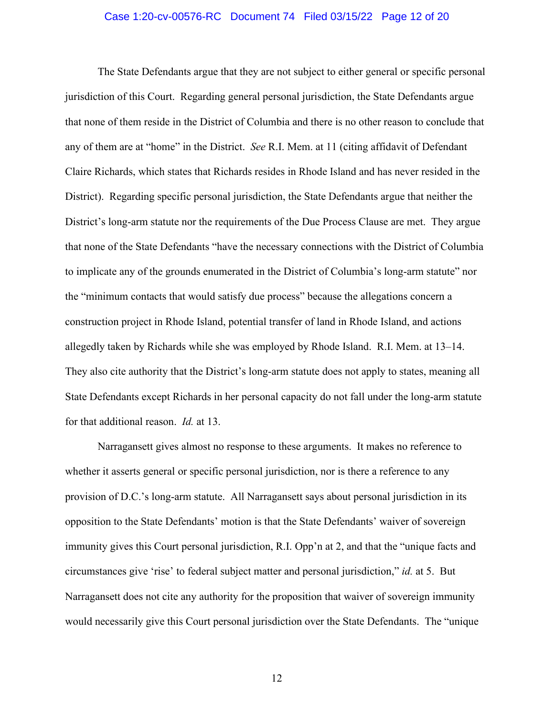#### Case 1:20-cv-00576-RC Document 74 Filed 03/15/22 Page 12 of 20

The State Defendants argue that they are not subject to either general or specific personal jurisdiction of this Court. Regarding general personal jurisdiction, the State Defendants argue that none of them reside in the District of Columbia and there is no other reason to conclude that any of them are at "home" in the District. *See* R.I. Mem. at 11 (citing affidavit of Defendant Claire Richards, which states that Richards resides in Rhode Island and has never resided in the District). Regarding specific personal jurisdiction, the State Defendants argue that neither the District's long-arm statute nor the requirements of the Due Process Clause are met. They argue that none of the State Defendants "have the necessary connections with the District of Columbia to implicate any of the grounds enumerated in the District of Columbia's long-arm statute" nor the "minimum contacts that would satisfy due process" because the allegations concern a construction project in Rhode Island, potential transfer of land in Rhode Island, and actions allegedly taken by Richards while she was employed by Rhode Island. R.I. Mem. at 13–14. They also cite authority that the District's long-arm statute does not apply to states, meaning all State Defendants except Richards in her personal capacity do not fall under the long-arm statute for that additional reason. *Id.* at 13.

Narragansett gives almost no response to these arguments. It makes no reference to whether it asserts general or specific personal jurisdiction, nor is there a reference to any provision of D.C.'s long-arm statute. All Narragansett says about personal jurisdiction in its opposition to the State Defendants' motion is that the State Defendants' waiver of sovereign immunity gives this Court personal jurisdiction, R.I. Opp'n at 2, and that the "unique facts and circumstances give 'rise' to federal subject matter and personal jurisdiction," *id.* at 5. But Narragansett does not cite any authority for the proposition that waiver of sovereign immunity would necessarily give this Court personal jurisdiction over the State Defendants. The "unique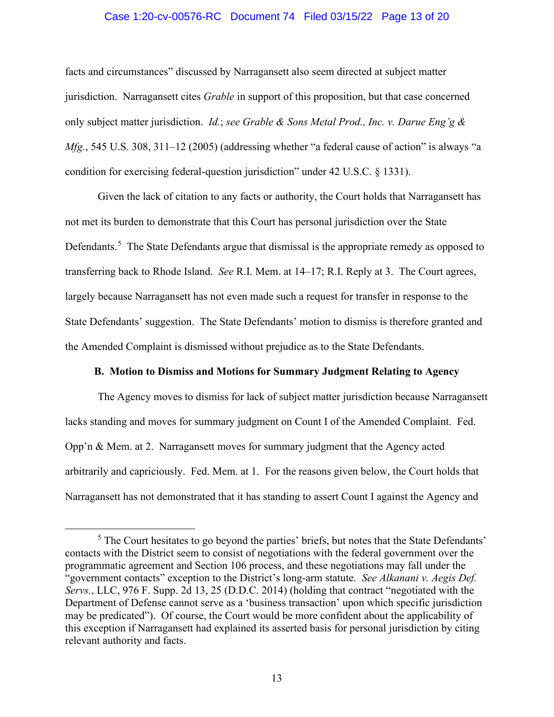# Case 1:20-cv-00576-RC Document 74 Filed 03/15/22 Page 13 of 20

facts and circumstances" discussed by Narragansett also seem directed at subject matter jurisdiction. Narragansett cites *Grable* in support of this proposition, but that case concerned only subject matter jurisdiction. *Id.*; *see Grable & Sons Metal Prod., Inc. v. Darue Eng'g & Mfg.*, 545 U.S. 308, 311–12 (2005) (addressing whether "a federal cause of action" is always "a condition for exercising federal-question jurisdiction" under 42 U.S.C. § 1331).

Given the lack of citation to any facts or authority, the Court holds that Narragansett has not met its burden to demonstrate that this Court has personal jurisdiction over the State Defendants.<sup>5</sup> The State Defendants argue that dismissal is the appropriate remedy as opposed to transferring back to Rhode Island. *See* R.I. Mem. at 14–17; R.I. Reply at 3. The Court agrees, largely because Narragansett has not even made such a request for transfer in response to the State Defendants' suggestion. The State Defendants' motion to dismiss is therefore granted and the Amended Complaint is dismissed without prejudice as to the State Defendants.

## **B. Motion to Dismiss and Motions for Summary Judgment Relating to Agency**

The Agency moves to dismiss for lack of subject matter jurisdiction because Narragansett lacks standing and moves for summary judgment on Count I of the Amended Complaint. Fed. Opp'n & Mem. at 2. Narragansett moves for summary judgment that the Agency acted arbitrarily and capriciously. Fed. Mem. at 1. For the reasons given below, the Court holds that Narragansett has not demonstrated that it has standing to assert Count I against the Agency and

 $<sup>5</sup>$  The Court hesitates to go beyond the parties' briefs, but notes that the State Defendants'</sup> contacts with the District seem to consist of negotiations with the federal government over the programmatic agreement and Section 106 process, and these negotiations may fall under the "government contacts" exception to the District's long-arm statute. *See Alkanani v. Aegis Def. Servs.*, LLC, 976 F. Supp. 2d 13, 25 (D.D.C. 2014) (holding that contract "negotiated with the Department of Defense cannot serve as a 'business transaction' upon which specific jurisdiction may be predicated"). Of course, the Court would be more confident about the applicability of this exception if Narragansett had explained its asserted basis for personal jurisdiction by citing relevant authority and facts.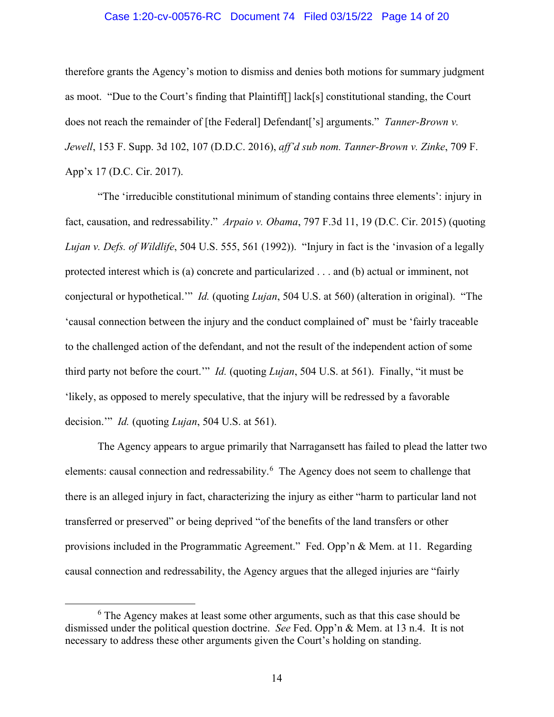### Case 1:20-cv-00576-RC Document 74 Filed 03/15/22 Page 14 of 20

therefore grants the Agency's motion to dismiss and denies both motions for summary judgment as moot. "Due to the Court's finding that Plaintiff[] lack[s] constitutional standing, the Court does not reach the remainder of [the Federal] Defendant['s] arguments." *Tanner-Brown v. Jewell*, 153 F. Supp. 3d 102, 107 (D.D.C. 2016), *aff'd sub nom. Tanner-Brown v. Zinke*, 709 F. App'x 17 (D.C. Cir. 2017).

"The 'irreducible constitutional minimum of standing contains three elements': injury in fact, causation, and redressability." *Arpaio v. Obama*, 797 F.3d 11, 19 (D.C. Cir. 2015) (quoting *Lujan v. Defs. of Wildlife*, 504 U.S. 555, 561 (1992)). "Injury in fact is the 'invasion of a legally protected interest which is (a) concrete and particularized . . . and (b) actual or imminent, not conjectural or hypothetical.'" *Id.* (quoting *Lujan*, 504 U.S. at 560) (alteration in original). "The 'causal connection between the injury and the conduct complained of' must be 'fairly traceable to the challenged action of the defendant, and not the result of the independent action of some third party not before the court.'" *Id.* (quoting *Lujan*, 504 U.S. at 561). Finally, "it must be 'likely, as opposed to merely speculative, that the injury will be redressed by a favorable decision.'" *Id.* (quoting *Lujan*, 504 U.S. at 561).

The Agency appears to argue primarily that Narragansett has failed to plead the latter two elements: causal connection and redressability.<sup>6</sup> The Agency does not seem to challenge that there is an alleged injury in fact, characterizing the injury as either "harm to particular land not transferred or preserved" or being deprived "of the benefits of the land transfers or other provisions included in the Programmatic Agreement." Fed. Opp'n & Mem. at 11. Regarding causal connection and redressability, the Agency argues that the alleged injuries are "fairly

<sup>&</sup>lt;sup>6</sup> The Agency makes at least some other arguments, such as that this case should be dismissed under the political question doctrine. *See* Fed. Opp'n & Mem. at 13 n.4. It is not necessary to address these other arguments given the Court's holding on standing.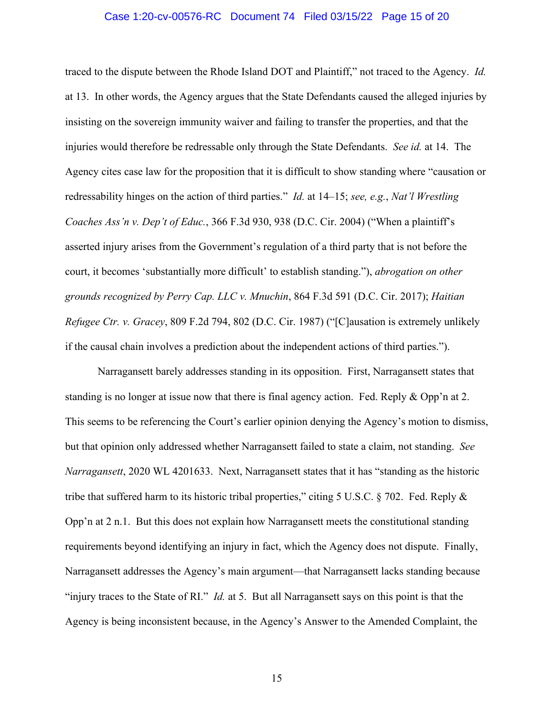# Case 1:20-cv-00576-RC Document 74 Filed 03/15/22 Page 15 of 20

traced to the dispute between the Rhode Island DOT and Plaintiff," not traced to the Agency. *Id.* at 13. In other words, the Agency argues that the State Defendants caused the alleged injuries by insisting on the sovereign immunity waiver and failing to transfer the properties, and that the injuries would therefore be redressable only through the State Defendants. *See id.* at 14. The Agency cites case law for the proposition that it is difficult to show standing where "causation or redressability hinges on the action of third parties." *Id.* at 14–15; *see, e.g.*, *Nat'l Wrestling Coaches Ass'n v. Dep't of Educ.*, 366 F.3d 930, 938 (D.C. Cir. 2004) ("When a plaintiff's asserted injury arises from the Government's regulation of a third party that is not before the court, it becomes 'substantially more difficult' to establish standing."), *abrogation on other grounds recognized by Perry Cap. LLC v. Mnuchin*, 864 F.3d 591 (D.C. Cir. 2017); *Haitian Refugee Ctr. v. Gracey*, 809 F.2d 794, 802 (D.C. Cir. 1987) ("[C]ausation is extremely unlikely if the causal chain involves a prediction about the independent actions of third parties.").

Narragansett barely addresses standing in its opposition. First, Narragansett states that standing is no longer at issue now that there is final agency action. Fed. Reply & Opp'n at 2. This seems to be referencing the Court's earlier opinion denying the Agency's motion to dismiss, but that opinion only addressed whether Narragansett failed to state a claim, not standing. *See Narragansett*, 2020 WL 4201633. Next, Narragansett states that it has "standing as the historic tribe that suffered harm to its historic tribal properties," citing 5 U.S.C. § 702. Fed. Reply & Opp'n at 2 n.1. But this does not explain how Narragansett meets the constitutional standing requirements beyond identifying an injury in fact, which the Agency does not dispute. Finally, Narragansett addresses the Agency's main argument—that Narragansett lacks standing because "injury traces to the State of RI." *Id.* at 5. But all Narragansett says on this point is that the Agency is being inconsistent because, in the Agency's Answer to the Amended Complaint, the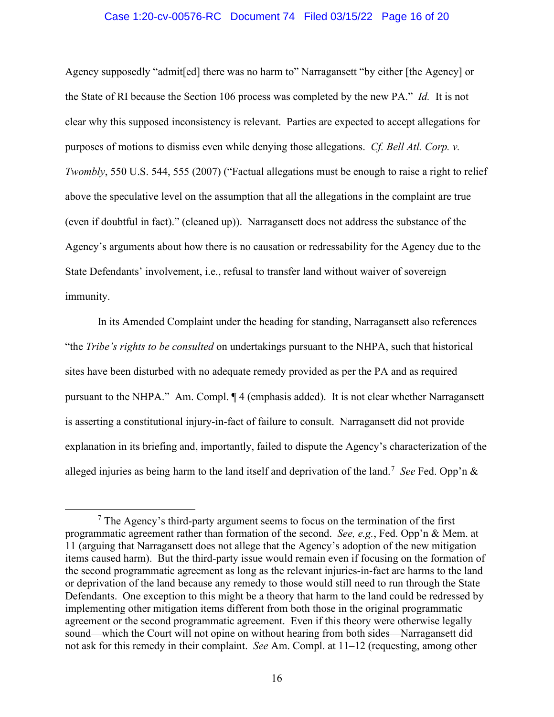## Case 1:20-cv-00576-RC Document 74 Filed 03/15/22 Page 16 of 20

Agency supposedly "admit[ed] there was no harm to" Narragansett "by either [the Agency] or the State of RI because the Section 106 process was completed by the new PA." *Id.* It is not clear why this supposed inconsistency is relevant. Parties are expected to accept allegations for purposes of motions to dismiss even while denying those allegations. *Cf. Bell Atl. Corp. v. Twombly*, 550 U.S. 544, 555 (2007) ("Factual allegations must be enough to raise a right to relief above the speculative level on the assumption that all the allegations in the complaint are true (even if doubtful in fact)." (cleaned up)). Narragansett does not address the substance of the Agency's arguments about how there is no causation or redressability for the Agency due to the State Defendants' involvement, i.e., refusal to transfer land without waiver of sovereign immunity.

In its Amended Complaint under the heading for standing, Narragansett also references "the *Tribe's rights to be consulted* on undertakings pursuant to the NHPA, such that historical sites have been disturbed with no adequate remedy provided as per the PA and as required pursuant to the NHPA." Am. Compl. ¶ 4 (emphasis added). It is not clear whether Narragansett is asserting a constitutional injury-in-fact of failure to consult. Narragansett did not provide explanation in its briefing and, importantly, failed to dispute the Agency's characterization of the alleged injuries as being harm to the land itself and deprivation of the land.<sup>7</sup> *See* Fed. Opp'n &

 $<sup>7</sup>$  The Agency's third-party argument seems to focus on the termination of the first</sup> programmatic agreement rather than formation of the second. *See, e.g.*, Fed. Opp'n & Mem. at 11 (arguing that Narragansett does not allege that the Agency's adoption of the new mitigation items caused harm). But the third-party issue would remain even if focusing on the formation of the second programmatic agreement as long as the relevant injuries-in-fact are harms to the land or deprivation of the land because any remedy to those would still need to run through the State Defendants. One exception to this might be a theory that harm to the land could be redressed by implementing other mitigation items different from both those in the original programmatic agreement or the second programmatic agreement. Even if this theory were otherwise legally sound—which the Court will not opine on without hearing from both sides—Narragansett did not ask for this remedy in their complaint. *See* Am. Compl. at 11–12 (requesting, among other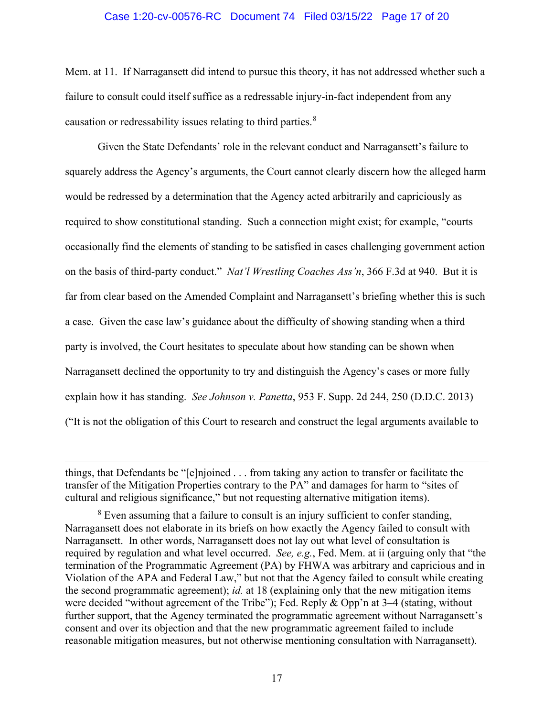# Case 1:20-cv-00576-RC Document 74 Filed 03/15/22 Page 17 of 20

Mem. at 11. If Narragansett did intend to pursue this theory, it has not addressed whether such a failure to consult could itself suffice as a redressable injury-in-fact independent from any causation or redressability issues relating to third parties.<sup>8</sup>

Given the State Defendants' role in the relevant conduct and Narragansett's failure to squarely address the Agency's arguments, the Court cannot clearly discern how the alleged harm would be redressed by a determination that the Agency acted arbitrarily and capriciously as required to show constitutional standing. Such a connection might exist; for example, "courts occasionally find the elements of standing to be satisfied in cases challenging government action on the basis of third-party conduct." *Nat'l Wrestling Coaches Ass'n*, 366 F.3d at 940. But it is far from clear based on the Amended Complaint and Narragansett's briefing whether this is such a case. Given the case law's guidance about the difficulty of showing standing when a third party is involved, the Court hesitates to speculate about how standing can be shown when Narragansett declined the opportunity to try and distinguish the Agency's cases or more fully explain how it has standing. *See Johnson v. Panetta*, 953 F. Supp. 2d 244, 250 (D.D.C. 2013) ("It is not the obligation of this Court to research and construct the legal arguments available to

things, that Defendants be "[e]njoined . . . from taking any action to transfer or facilitate the transfer of the Mitigation Properties contrary to the PA" and damages for harm to "sites of cultural and religious significance," but not requesting alternative mitigation items).

 $8$  Even assuming that a failure to consult is an injury sufficient to confer standing, Narragansett does not elaborate in its briefs on how exactly the Agency failed to consult with Narragansett. In other words, Narragansett does not lay out what level of consultation is required by regulation and what level occurred. *See, e.g.*, Fed. Mem. at ii (arguing only that "the termination of the Programmatic Agreement (PA) by FHWA was arbitrary and capricious and in Violation of the APA and Federal Law," but not that the Agency failed to consult while creating the second programmatic agreement); *id.* at 18 (explaining only that the new mitigation items were decided "without agreement of the Tribe"); Fed. Reply & Opp'n at 3–4 (stating, without further support, that the Agency terminated the programmatic agreement without Narragansett's consent and over its objection and that the new programmatic agreement failed to include reasonable mitigation measures, but not otherwise mentioning consultation with Narragansett).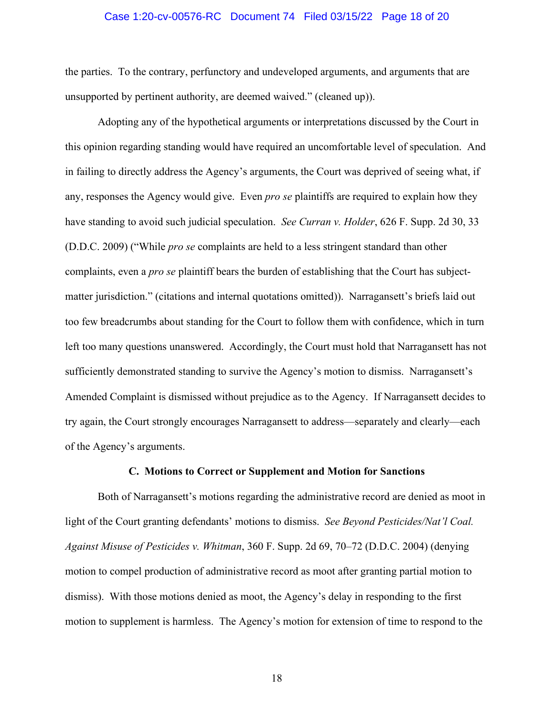### Case 1:20-cv-00576-RC Document 74 Filed 03/15/22 Page 18 of 20

the parties. To the contrary, perfunctory and undeveloped arguments, and arguments that are unsupported by pertinent authority, are deemed waived." (cleaned up)).

Adopting any of the hypothetical arguments or interpretations discussed by the Court in this opinion regarding standing would have required an uncomfortable level of speculation. And in failing to directly address the Agency's arguments, the Court was deprived of seeing what, if any, responses the Agency would give. Even *pro se* plaintiffs are required to explain how they have standing to avoid such judicial speculation. *See Curran v. Holder*, 626 F. Supp. 2d 30, 33 (D.D.C. 2009) ("While *pro se* complaints are held to a less stringent standard than other complaints, even a *pro se* plaintiff bears the burden of establishing that the Court has subjectmatter jurisdiction." (citations and internal quotations omitted)). Narragansett's briefs laid out too few breadcrumbs about standing for the Court to follow them with confidence, which in turn left too many questions unanswered. Accordingly, the Court must hold that Narragansett has not sufficiently demonstrated standing to survive the Agency's motion to dismiss. Narragansett's Amended Complaint is dismissed without prejudice as to the Agency. If Narragansett decides to try again, the Court strongly encourages Narragansett to address—separately and clearly—each of the Agency's arguments.

#### **C. Motions to Correct or Supplement and Motion for Sanctions**

Both of Narragansett's motions regarding the administrative record are denied as moot in light of the Court granting defendants' motions to dismiss. *See Beyond Pesticides/Nat'l Coal. Against Misuse of Pesticides v. Whitman*, 360 F. Supp. 2d 69, 70–72 (D.D.C. 2004) (denying motion to compel production of administrative record as moot after granting partial motion to dismiss). With those motions denied as moot, the Agency's delay in responding to the first motion to supplement is harmless. The Agency's motion for extension of time to respond to the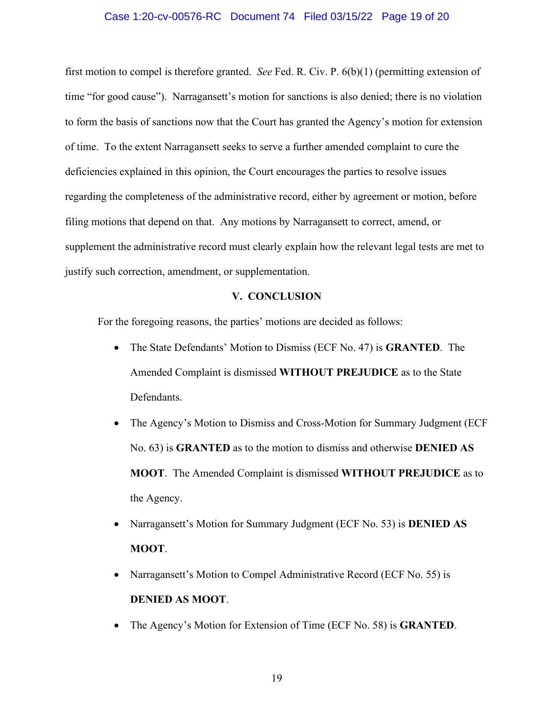## Case 1:20-cv-00576-RC Document 74 Filed 03/15/22 Page 19 of 20

first motion to compel is therefore granted. *See* Fed. R. Civ. P. 6(b)(1) (permitting extension of time "for good cause"). Narragansett's motion for sanctions is also denied; there is no violation to form the basis of sanctions now that the Court has granted the Agency's motion for extension of time. To the extent Narragansett seeks to serve a further amended complaint to cure the deficiencies explained in this opinion, the Court encourages the parties to resolve issues regarding the completeness of the administrative record, either by agreement or motion, before filing motions that depend on that. Any motions by Narragansett to correct, amend, or supplement the administrative record must clearly explain how the relevant legal tests are met to justify such correction, amendment, or supplementation.

# **V. CONCLUSION**

For the foregoing reasons, the parties' motions are decided as follows:

- The State Defendants' Motion to Dismiss (ECF No. 47) is **GRANTED**. The Amended Complaint is dismissed **WITHOUT PREJUDICE** as to the State Defendants.
- The Agency's Motion to Dismiss and Cross-Motion for Summary Judgment (ECF No. 63) is **GRANTED** as to the motion to dismiss and otherwise **DENIED AS MOOT**. The Amended Complaint is dismissed **WITHOUT PREJUDICE** as to the Agency.
- Narragansett's Motion for Summary Judgment (ECF No. 53) is **DENIED AS MOOT**.
- Narragansett's Motion to Compel Administrative Record (ECF No. 55) is **DENIED AS MOOT**.
- The Agency's Motion for Extension of Time (ECF No. 58) is **GRANTED**.